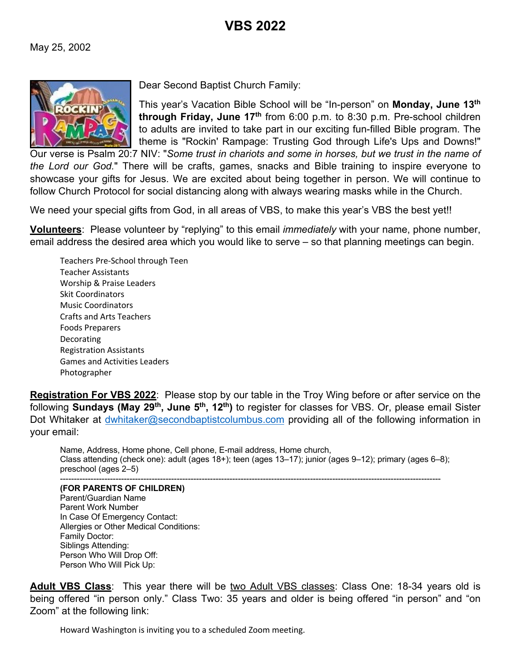

Dear Second Baptist Church Family:

This year's Vacation Bible School will be "In-person" on **Monday, June 13th through Friday, June 17th** from 6:00 p.m. to 8:30 p.m. Pre-school children to adults are invited to take part in our exciting fun-filled Bible program. The theme is "Rockin' Rampage: Trusting God through Life's Ups and Downs!"

Our verse is Psalm 20:7 NIV: "*Some trust in chariots and some in horses, but we trust in the name of the Lord our God.*" There will be crafts, games, snacks and Bible training to inspire everyone to showcase your gifts for Jesus. We are excited about being together in person. We will continue to follow Church Protocol for social distancing along with always wearing masks while in the Church.

We need your special gifts from God, in all areas of VBS, to make this year's VBS the best yet!!

**Volunteers**: Please volunteer by "replying" to this email *immediately* with your name, phone number, email address the desired area which you would like to serve – so that planning meetings can begin.

Teachers Pre-School through Teen Teacher Assistants Worship & Praise Leaders Skit Coordinators Music Coordinators Crafts and Arts Teachers Foods Preparers Decorating Registration Assistants Games and Activities Leaders Photographer

**Registration For VBS 2022**: Please stop by our table in the Troy Wing before or after service on the following **Sundays (May 29th, June 5th, 12th)** to register for classes for VBS. Or, please email Sister Dot Whitaker at dwhitaker@secondbaptistcolumbus.com providing all of the following information in your email:

Name, Address, Home phone, Cell phone, E-mail address, Home church, Class attending (check one): adult (ages 18+); teen (ages 13–17); junior (ages 9–12); primary (ages 6–8); preschool (ages 2–5) -----------------------------------------------------------------------------------------------------------------------------------------

**(FOR PARENTS OF CHILDREN)**

Parent/Guardian Name Parent Work Number In Case Of Emergency Contact: Allergies or Other Medical Conditions: Family Doctor: Siblings Attending: Person Who Will Drop Off: Person Who Will Pick Up:

**Adult VBS Class**: This year there will be two Adult VBS classes: Class One: 18-34 years old is being offered "in person only." Class Two: 35 years and older is being offered "in person" and "on Zoom" at the following link:

Howard Washington is inviting you to a scheduled Zoom meeting.